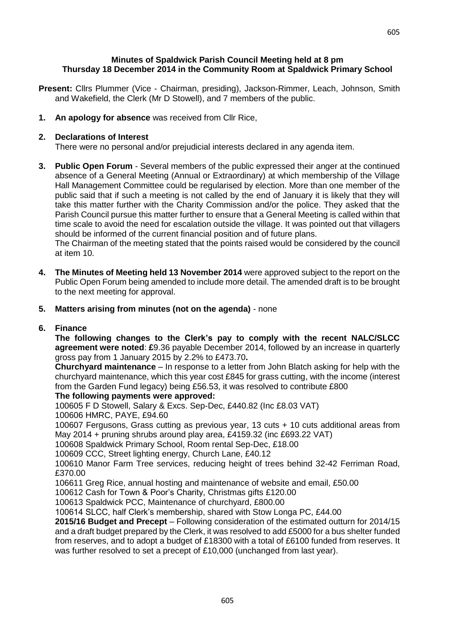## **Minutes of Spaldwick Parish Council Meeting held at 8 pm Thursday 18 December 2014 in the Community Room at Spaldwick Primary School**

- **Present:** Cllrs Plummer (Vice Chairman, presiding), Jackson-Rimmer, Leach, Johnson, Smith and Wakefield, the Clerk (Mr D Stowell), and 7 members of the public.
- **1. An apology for absence** was received from Cllr Rice,

### **2. Declarations of Interest**

There were no personal and/or prejudicial interests declared in any agenda item.

**3. Public Open Forum** - Several members of the public expressed their anger at the continued absence of a General Meeting (Annual or Extraordinary) at which membership of the Village Hall Management Committee could be regularised by election. More than one member of the public said that if such a meeting is not called by the end of January it is likely that they will take this matter further with the Charity Commission and/or the police. They asked that the Parish Council pursue this matter further to ensure that a General Meeting is called within that time scale to avoid the need for escalation outside the village. It was pointed out that villagers should be informed of the current financial position and of future plans.

The Chairman of the meeting stated that the points raised would be considered by the council at item 10.

- **4. The Minutes of Meeting held 13 November 2014** were approved subject to the report on the Public Open Forum being amended to include more detail. The amended draft is to be brought to the next meeting for approval.
- **5. Matters arising from minutes (not on the agenda)**  none

### **6. Finance**

**The following changes to the Clerk's pay to comply with the recent NALC/SLCC agreement were noted**: **£**9.36 payable December 2014, followed by an increase in quarterly gross pay from 1 January 2015 by 2.2% to £473.70**.**

**Churchyard maintenance** – In response to a letter from John Blatch asking for help with the churchyard maintenance, which this year cost £845 for grass cutting, with the income (interest from the Garden Fund legacy) being £56.53, it was resolved to contribute £800

### **The following payments were approved:**

100605 F D Stowell, Salary & Excs. Sep-Dec, £440.82 (Inc £8.03 VAT) 100606 HMRC, PAYE, £94.60

100607 Fergusons, Grass cutting as previous year, 13 cuts + 10 cuts additional areas from May 2014 + pruning shrubs around play area, £4159.32 (inc £693.22 VAT)

100608 Spaldwick Primary School, Room rental Sep-Dec, £18.00

100609 CCC, Street lighting energy, Church Lane, £40.12

100610 Manor Farm Tree services, reducing height of trees behind 32-42 Ferriman Road, £370.00

106611 Greg Rice, annual hosting and maintenance of website and email, £50.00

100612 Cash for Town & Poor's Charity, Christmas gifts £120.00

100613 Spaldwick PCC, Maintenance of churchyard, £800.00

100614 SLCC, half Clerk's membership, shared with Stow Longa PC, £44.00

**2015/16 Budget and Precept** – Following consideration of the estimated outturn for 2014/15 and a draft budget prepared by the Clerk, it was resolved to add £5000 for a bus shelter funded from reserves, and to adopt a budget of £18300 with a total of £6100 funded from reserves. It was further resolved to set a precept of £10,000 (unchanged from last year).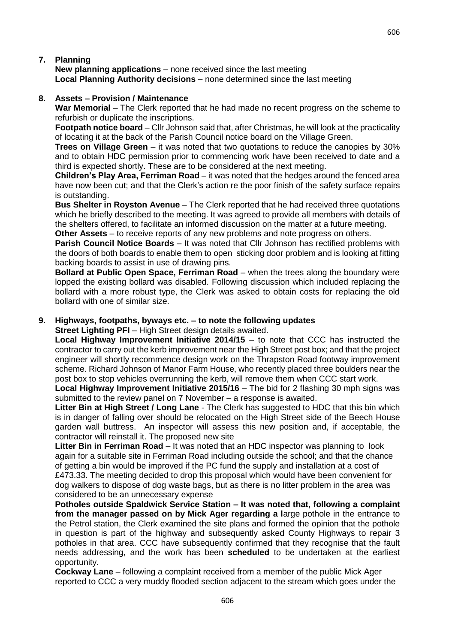## **7. Planning**

**New planning applications** – none received since the last meeting **Local Planning Authority decisions** – none determined since the last meeting

## **8. Assets – Provision / Maintenance**

**War Memorial** – The Clerk reported that he had made no recent progress on the scheme to refurbish or duplicate the inscriptions.

**Footpath notice board** – Cllr Johnson said that, after Christmas, he will look at the practicality of locating it at the back of the Parish Council notice board on the Village Green.

**Trees on Village Green** – it was noted that two quotations to reduce the canopies by 30% and to obtain HDC permission prior to commencing work have been received to date and a third is expected shortly. These are to be considered at the next meeting.

**Children's Play Area, Ferriman Road** – it was noted that the hedges around the fenced area have now been cut; and that the Clerk's action re the poor finish of the safety surface repairs is outstanding.

**Bus Shelter in Royston Avenue** – The Clerk reported that he had received three quotations which he briefly described to the meeting. It was agreed to provide all members with details of the shelters offered, to facilitate an informed discussion on the matter at a future meeting.

**Other Assets** – to receive reports of any new problems and note progress on others.

**Parish Council Notice Boards** – It was noted that Cllr Johnson has rectified problems with the doors of both boards to enable them to open sticking door problem and is looking at fitting backing boards to assist in use of drawing pins.

**Bollard at Public Open Space, Ferriman Road – when the trees along the boundary were** lopped the existing bollard was disabled. Following discussion which included replacing the bollard with a more robust type, the Clerk was asked to obtain costs for replacing the old bollard with one of similar size.

# **9. Highways, footpaths, byways etc. – to note the following updates**

**Street Lighting PFI** – High Street design details awaited.

**Local Highway Improvement Initiative 2014/15** – to note that CCC has instructed the contractor to carry out the kerb improvement near the High Street post box; and that the project engineer will shortly recommence design work on the Thrapston Road footway improvement scheme. Richard Johnson of Manor Farm House, who recently placed three boulders near the post box to stop vehicles overrunning the kerb, will remove them when CCC start work.

**Local Highway Improvement Initiative 2015/16** – The bid for 2 flashing 30 mph signs was submitted to the review panel on 7 November – a response is awaited.

**Litter Bin at High Street / Long Lane** - The Clerk has suggested to HDC that this bin which is in danger of falling over should be relocated on the High Street side of the Beech House garden wall buttress. An inspector will assess this new position and, if acceptable, the contractor will reinstall it. The proposed new site

**Litter Bin in Ferriman Road** – It was noted that an HDC inspector was planning to look again for a suitable site in Ferriman Road including outside the school; and that the chance of getting a bin would be improved if the PC fund the supply and installation at a cost of £473.33. The meeting decided to drop this proposal which would have been convenient for dog walkers to dispose of dog waste bags, but as there is no litter problem in the area was considered to be an unnecessary expense

**Potholes outside Spaldwick Service Station – It was noted that, following a complaint from the manager passed on by Mick Ager regarding a l**arge pothole in the entrance to the Petrol station, the Clerk examined the site plans and formed the opinion that the pothole in question is part of the highway and subsequently asked County Highways to repair 3 potholes in that area. CCC have subsequently confirmed that they recognise that the fault needs addressing, and the work has been **scheduled** to be undertaken at the earliest opportunity.

**Cockway Lane** – following a complaint received from a member of the public Mick Ager reported to CCC a very muddy flooded section adjacent to the stream which goes under the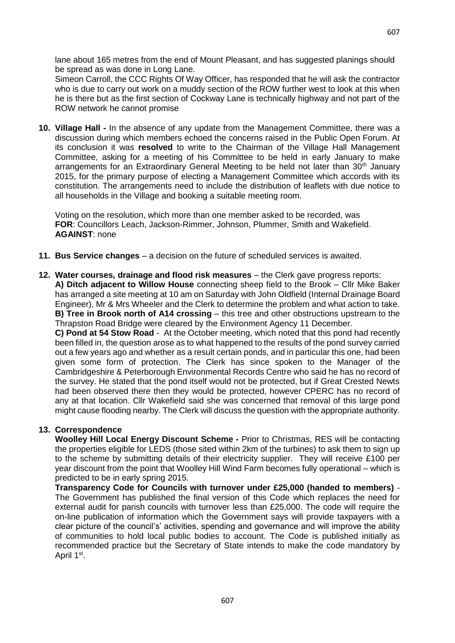lane about 165 metres from the end of Mount Pleasant, and has suggested planings should be spread as was done in Long Lane.

Simeon Carroll, the CCC Rights Of Way Officer, has responded that he will ask the contractor who is due to carry out work on a muddy section of the ROW further west to look at this when he is there but as the first section of Cockway Lane is technically highway and not part of the ROW network he cannot promise

**10. Village Hall -** In the absence of any update from the Management Committee, there was a discussion during which members echoed the concerns raised in the Public Open Forum. At its conclusion it was **resolved** to write to the Chairman of the Village Hall Management Committee, asking for a meeting of his Committee to be held in early January to make arrangements for an Extraordinary General Meeting to be held not later than 30<sup>th</sup> January 2015, for the primary purpose of electing a Management Committee which accords with its constitution. The arrangements need to include the distribution of leaflets with due notice to all households in the Village and booking a suitable meeting room.

Voting on the resolution, which more than one member asked to be recorded, was **FOR**: Councillors Leach, Jackson-Rimmer, Johnson, Plummer, Smith and Wakefield. **AGAINST**: none

- **11. Bus Service changes**  a decision on the future of scheduled services is awaited.
- **12. Water courses, drainage and flood risk measures** the Clerk gave progress reports: **A) Ditch adjacent to Willow House** connecting sheep field to the Brook – Cllr Mike Baker has arranged a site meeting at 10 am on Saturday with John Oldfield (Internal Drainage Board Engineer), Mr & Mrs Wheeler and the Clerk to determine the problem and what action to take. **B) Tree in Brook north of A14 crossing** – this tree and other obstructions upstream to the Thrapston Road Bridge were cleared by the Environment Agency 11 December.

**C) Pond at 54 Stow Road** - At the October meeting, which noted that this pond had recently been filled in, the question arose as to what happened to the results of the pond survey carried out a few years ago and whether as a result certain ponds, and in particular this one, had been given some form of protection. The Clerk has since spoken to the Manager of the Cambridgeshire & Peterborough Environmental Records Centre who said he has no record of the survey. He stated that the pond itself would not be protected, but if Great Crested Newts had been observed there then they would be protected, however CPERC has no record of any at that location. Cllr Wakefield said she was concerned that removal of this large pond might cause flooding nearby. The Clerk will discuss the question with the appropriate authority.

## **13. Correspondence**

**Woolley Hill Local Energy Discount Scheme -** Prior to Christmas, RES will be contacting the properties eligible for LEDS (those sited within 2km of the turbines) to ask them to sign up to the scheme by submitting details of their electricity supplier. They will receive £100 per year discount from the point that Woolley Hill Wind Farm becomes fully operational – which is predicted to be in early spring 2015.

**Transparency Code for Councils with turnover under £25,000 (handed to members)** - The Government has published the final version of this Code which replaces the need for external audit for parish councils with turnover less than £25,000. The code will require the on-line publication of information which the Government says will provide taxpayers with a clear picture of the council's' activities, spending and governance and will improve the ability of communities to hold local public bodies to account. The Code is published initially as recommended practice but the Secretary of State intends to make the code mandatory by April 1st.